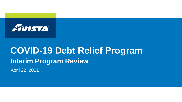

# April 22, 2021 **COVID-19 Debt Relief Program Interim Program Review**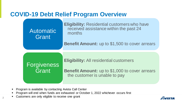### **COVID-19 Debt Relief Program Overview**



- **Program is available by contacting Avista Call Center**
- Program will end when funds are exhausted or October 1, 2022 whichever occurs first
- $\sim$   $\blacksquare$  Customers are only eligible to receive one grant

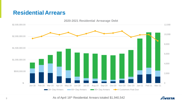#### **Residential Arrears**



As of April 16<sup>th</sup> Residential Arrears totaled \$1,940,542

EMISTA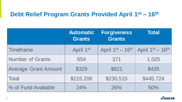## **Debt Relief Program Grants Provided April 1st – 16th**

|                             | <b>Automatic</b><br><b>Grants</b> | Forgiveness<br><b>Grants</b> | <b>Total</b>       |
|-----------------------------|-----------------------------------|------------------------------|--------------------|
| Timeframe                   | April 1st                         | April 1st - 16th             | April $1st - 16th$ |
| <b>Number of Grants</b>     | 654                               | 371                          | 1,025              |
| <b>Average Grant Amount</b> | \$329                             | \$621                        | \$435              |
| <b>Total</b>                | \$215,208                         | \$230,515                    | \$445,724          |
| % of Fund Available         | 24%                               | 26%                          | 50%                |

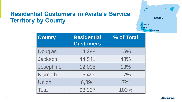## **Residential Customers in Avista's Service Territory by County**



| <b>County</b>  | <b>Residential</b><br><b>Customers</b> | % of Total |
|----------------|----------------------------------------|------------|
| <b>Douglas</b> | 14,298                                 | 15%        |
| Jackson        | 44,541                                 | 48%        |
| Josephine      | 12,005                                 | 13%        |
| <b>Klamath</b> | 15,499                                 | 17%        |
| Union          | 6,894                                  | 7%         |
| <b>Total</b>   | 93,237                                 | 100%       |

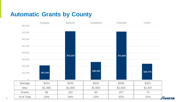# **Automatic Grants by County**

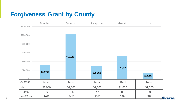# **Forgiveness Grant by County**

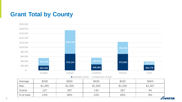## **Grant Total by County**



**8**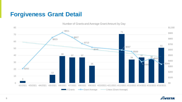## **Forgiveness Grant Detail**



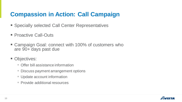# **Compassion in Action: Call Campaign**

- Specially selected Call Center Representatives
- Proactive Call-Outs
- Campaign Goal: connect with 100% of customers who are 90+ days past due
- Objectives:
	- Offer bill assistance information
	- Discuss payment arrangement options
	- **Update account information**
	- **Provide additional resources**

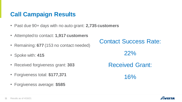# **Call Campaign Results**

- Past due 90+ days with no auto grant: **2,735 customers**
- Attempted to contact: **1,917 customers**
- Remaining: **677** (153 no contact needed)
- Spoke with: **415**
- Received forgiveness grant: **303**
- Forgiveness total: **\$177,371**
- Forgiveness average: **\$585**

Contact Success Rate:

22%

Received Grant:

16%

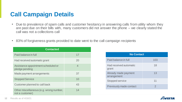# **Call Campaign Details**

- Due to prevalence of spam calls and customer hesitancy in answering calls from utility whom they are past due on their bills with, many customers did not answer the phone – we clearly stated the call was not a collections call
- 83% of forgiveness grants provided to date went to the call campaign recipients

| <b>Contacted</b>                                           |    |  |  |
|------------------------------------------------------------|----|--|--|
| Paid balance in full                                       | 17 |  |  |
| Had received automatic grant                               | 20 |  |  |
| Assistance appointment scheduled or<br>pledge pending      | 4  |  |  |
| Made payment arrangements                                  | 37 |  |  |
| <b>Stopped Service</b>                                     | 10 |  |  |
| Customer planned to call back                              | 43 |  |  |
| Other miscellaneous (e.g. wrong number,<br>not a customer) | 14 |  |  |

| <b>No Contact</b>                      |     |  |  |  |
|----------------------------------------|-----|--|--|--|
| Paid balance in full                   | 103 |  |  |  |
| <b>Had received automatic</b><br>grant | 18  |  |  |  |
| Already made payment<br>arrangement    | 13  |  |  |  |
| <b>Stopped service</b>                 | 11  |  |  |  |
| <b>Previously made contact</b>         | 2   |  |  |  |

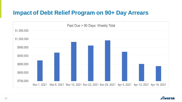#### **Impact of Debt Relief Program on 90+ Day Arrears**



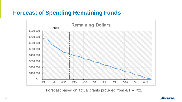#### **Forecast of Spending Remaining Funds**



Forecast based on actual grants provided from 4/1 – 4/21